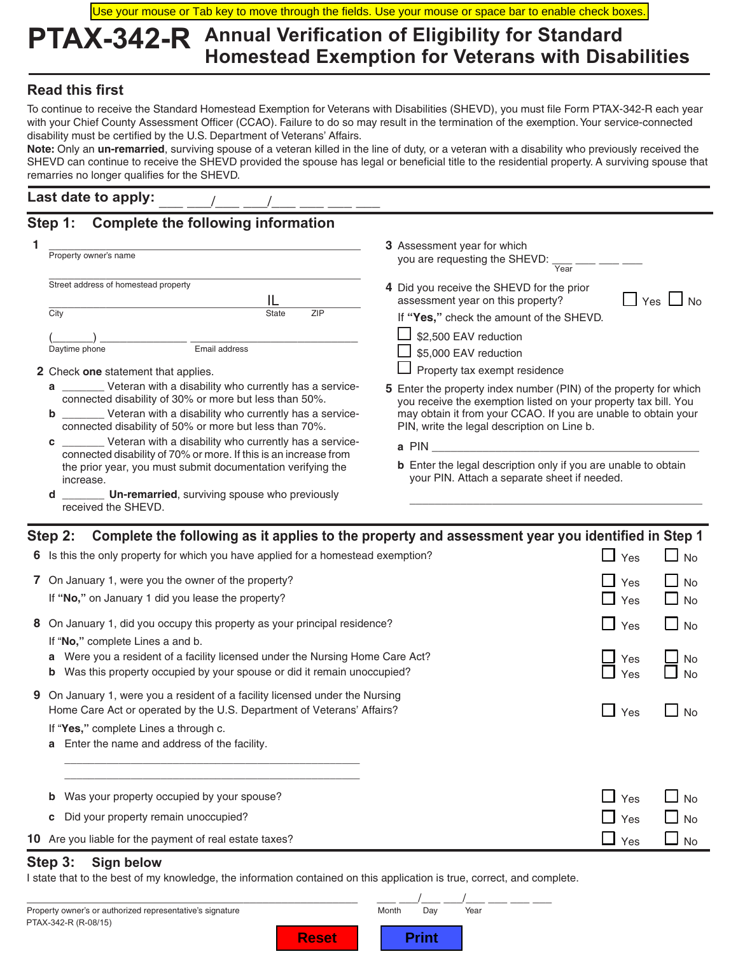Use your mouse or Tab key to move through the fields. Use your mouse or space bar to enable check boxes.

# **PTAX-342-R Annual Verification of Eligibility for Standard Homestead Exemption for Veterans with Disabilities**

### **Read this first**

To continue to receive the Standard Homestead Exemption for Veterans with Disabilities (SHEVD), you must file Form PTAX-342-R each year with your Chief County Assessment Officer (CCAO). Failure to do so may result in the termination of the exemption. Your service-connected disability must be certified by the U.S. Department of Veterans' Affairs.

**Note:** Only an **un-remarried**, surviving spouse of a veteran killed in the line of duty, or a veteran with a disability who previously received the SHEVD can continue to receive the SHEVD provided the spouse has legal or beneficial title to the residential property. A surviving spouse that remarries no longer qualifies for the SHEVD.

### Last date to apply:

## **Step 1: Complete the following information**

| Property owner's name                                                                                                                                                                                                                                     | 3 Assessment year for which<br>you are requesting the SHEVD:<br>Year                                                                                                                                                                                         |  |  |  |  |
|-----------------------------------------------------------------------------------------------------------------------------------------------------------------------------------------------------------------------------------------------------------|--------------------------------------------------------------------------------------------------------------------------------------------------------------------------------------------------------------------------------------------------------------|--|--|--|--|
| Street address of homestead property<br>City<br>ZIP<br><b>State</b>                                                                                                                                                                                       | 4 Did you receive the SHEVD for the prior<br>assessment year on this property?<br>Yes.<br>If "Yes," check the amount of the SHEVD.                                                                                                                           |  |  |  |  |
| Email address<br>Daytime phone<br>2 Check one statement that applies.                                                                                                                                                                                     | \$2,500 EAV reduction<br>\$5,000 EAV reduction<br>Property tax exempt residence                                                                                                                                                                              |  |  |  |  |
| __________ Veteran with a disability who currently has a service-<br>a<br>connected disability of 30% or more but less than 50%.<br>Veteran with a disability who currently has a service-<br>b<br>connected disability of 50% or more but less than 70%. | <b>5</b> Enter the property index number (PIN) of the property for which<br>you receive the exemption listed on your property tax bill. You<br>may obtain it from your CCAO. If you are unable to obtain your<br>PIN, write the legal description on Line b. |  |  |  |  |
| ___________ Veteran with a disability who currently has a service-<br>c<br>connected disability of 70% or more. If this is an increase from<br>the prior year, you must submit documentation verifying the<br>increase.                                   | a PIN<br><b>b</b> Enter the legal description only if you are unable to obtain<br>your PIN. Attach a separate sheet if needed.                                                                                                                               |  |  |  |  |
| <b>Un-remarried</b> , surviving spouse who previously<br>d<br>received the SHEVD.                                                                                                                                                                         |                                                                                                                                                                                                                                                              |  |  |  |  |

|   | Step 2: Complete the following as it applies to the property and assessment year you identified in Step 1                                                                                                                                                                        |                                |                                      |
|---|----------------------------------------------------------------------------------------------------------------------------------------------------------------------------------------------------------------------------------------------------------------------------------|--------------------------------|--------------------------------------|
|   | 6 Is this the only property for which you have applied for a homestead exemption?                                                                                                                                                                                                | $\Box$ Yes                     | $\square$ No                         |
|   | 7 On January 1, were you the owner of the property?<br>If "No," on January 1 did you lease the property?                                                                                                                                                                         | $\Box$<br>Yes<br>$\Box$<br>Yes | <b>No</b><br>$\Box$ No               |
|   | 8 On January 1, did you occupy this property as your principal residence?<br>If "No," complete Lines a and b.<br>Were you a resident of a facility licensed under the Nursing Home Care Act?<br>a<br>Was this property occupied by your spouse or did it remain unoccupied?<br>b | $\Box$ Yes<br>Yes<br>Yes       | $\Box$ No<br>No<br><b>No</b>         |
| 9 | On January 1, were you a resident of a facility licensed under the Nursing<br>Home Care Act or operated by the U.S. Department of Veterans' Affairs?<br>If "Yes," complete Lines a through c.<br>Enter the name and address of the facility.<br>a                                | $\Box$ Yes                     | <b>No</b>                            |
|   | Was your property occupied by your spouse?<br>b<br>Did your property remain unoccupied?<br>c<br>10 Are you liable for the payment of real estate taxes?                                                                                                                          | $\Box$ Yes<br>Yes<br>Yes       | No<br><b>No</b><br>$\blacksquare$ No |
|   |                                                                                                                                                                                                                                                                                  |                                |                                      |

### **Step 3: Sign below**

I state that to the best of my knowledge, the information contained on this application is true, correct, and complete.

| Property owner's or authorized representative's signature |              | Month | Dav   | Year |  |
|-----------------------------------------------------------|--------------|-------|-------|------|--|
| PTAX-342-R (R-08/15)                                      |              |       |       |      |  |
|                                                           | <b>Reset</b> |       | Print |      |  |